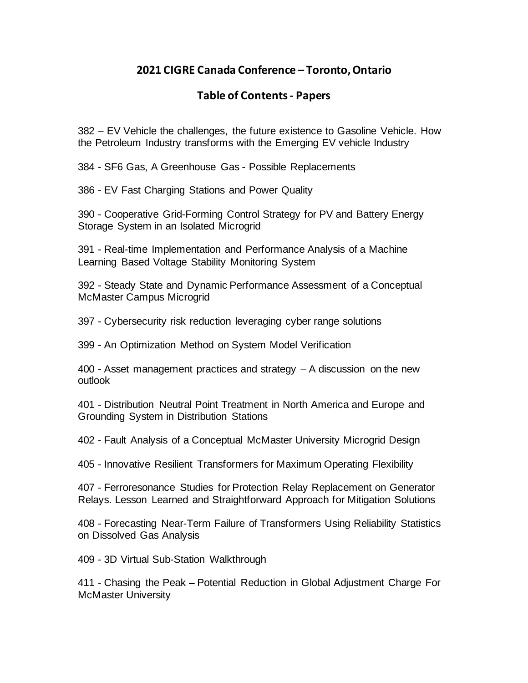## **2021 CIGRE Canada Conference – Toronto, Ontario**

## **Table of Contents- Papers**

382 – EV Vehicle the challenges, the future existence to Gasoline Vehicle. How the Petroleum Industry transforms with the Emerging EV vehicle Industry

384 - SF6 Gas, A Greenhouse Gas - Possible Replacements

386 - EV Fast Charging Stations and Power Quality

390 - Cooperative Grid-Forming Control Strategy for PV and Battery Energy Storage System in an Isolated Microgrid

391 - Real-time Implementation and Performance Analysis of a Machine Learning Based Voltage Stability Monitoring System

392 - Steady State and Dynamic Performance Assessment of a Conceptual McMaster Campus Microgrid

397 - Cybersecurity risk reduction leveraging cyber range solutions

399 - An Optimization Method on System Model Verification

400 - Asset management practices and strategy – A discussion on the new outlook

401 - Distribution Neutral Point Treatment in North America and Europe and Grounding System in Distribution Stations

402 - Fault Analysis of a Conceptual McMaster University Microgrid Design

405 - Innovative Resilient Transformers for Maximum Operating Flexibility

407 - Ferroresonance Studies for Protection Relay Replacement on Generator Relays. Lesson Learned and Straightforward Approach for Mitigation Solutions

408 - Forecasting Near-Term Failure of Transformers Using Reliability Statistics on Dissolved Gas Analysis

409 - 3D Virtual Sub-Station Walkthrough

411 - Chasing the Peak – Potential Reduction in Global Adjustment Charge For McMaster University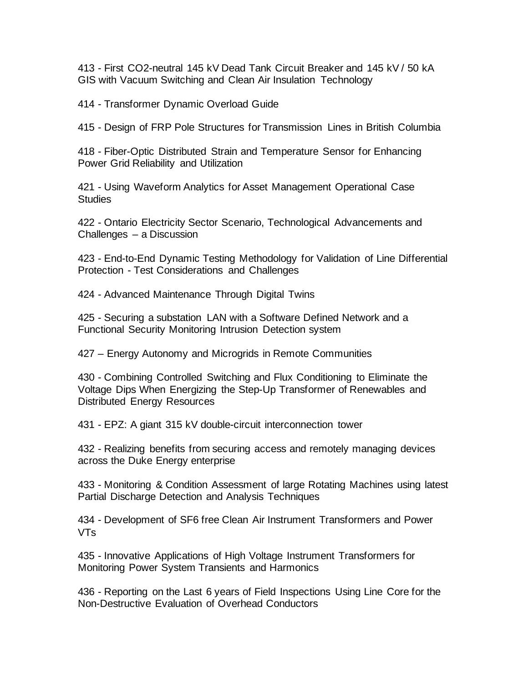413 - First CO2-neutral 145 kV Dead Tank Circuit Breaker and 145 kV / 50 kA GIS with Vacuum Switching and Clean Air Insulation Technology

414 - Transformer Dynamic Overload Guide

415 - Design of FRP Pole Structures for Transmission Lines in British Columbia

418 - Fiber-Optic Distributed Strain and Temperature Sensor for Enhancing Power Grid Reliability and Utilization

421 - Using Waveform Analytics for Asset Management Operational Case **Studies** 

422 - Ontario Electricity Sector Scenario, Technological Advancements and Challenges – a Discussion

423 - End-to-End Dynamic Testing Methodology for Validation of Line Differential Protection - Test Considerations and Challenges

424 - Advanced Maintenance Through Digital Twins

425 - Securing a substation LAN with a Software Defined Network and a Functional Security Monitoring Intrusion Detection system

427 – Energy Autonomy and Microgrids in Remote Communities

430 - Combining Controlled Switching and Flux Conditioning to Eliminate the Voltage Dips When Energizing the Step-Up Transformer of Renewables and Distributed Energy Resources

431 - EPZ: A giant 315 kV double-circuit interconnection tower

432 - Realizing benefits from securing access and remotely managing devices across the Duke Energy enterprise

433 - Monitoring & Condition Assessment of large Rotating Machines using latest Partial Discharge Detection and Analysis Techniques

434 - Development of SF6 free Clean Air Instrument Transformers and Power VTs

435 - Innovative Applications of High Voltage Instrument Transformers for Monitoring Power System Transients and Harmonics

436 - Reporting on the Last 6 years of Field Inspections Using Line Core for the Non-Destructive Evaluation of Overhead Conductors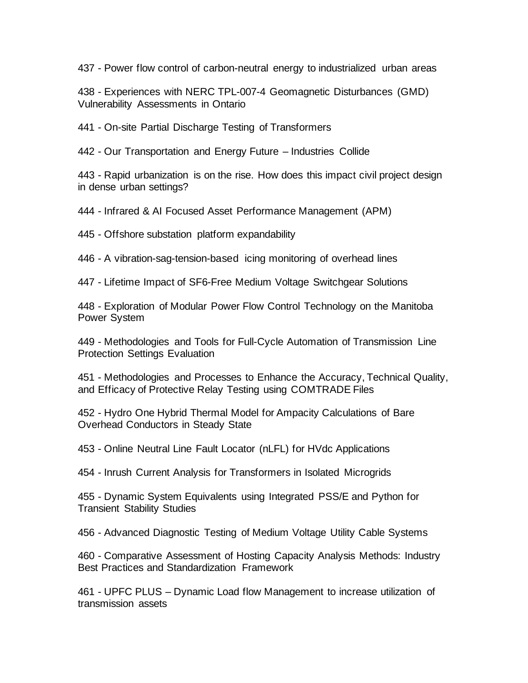437 - Power flow control of carbon-neutral energy to industrialized urban areas

438 - Experiences with NERC TPL-007-4 Geomagnetic Disturbances (GMD) Vulnerability Assessments in Ontario

441 - On-site Partial Discharge Testing of Transformers

442 - Our Transportation and Energy Future – Industries Collide

443 - Rapid urbanization is on the rise. How does this impact civil project design in dense urban settings?

444 - Infrared & AI Focused Asset Performance Management (APM)

445 - Offshore substation platform expandability

446 - A vibration-sag-tension-based icing monitoring of overhead lines

447 - Lifetime Impact of SF6-Free Medium Voltage Switchgear Solutions

448 - Exploration of Modular Power Flow Control Technology on the Manitoba Power System

449 - Methodologies and Tools for Full-Cycle Automation of Transmission Line Protection Settings Evaluation

451 - Methodologies and Processes to Enhance the Accuracy, Technical Quality, and Efficacy of Protective Relay Testing using COMTRADE Files

452 - Hydro One Hybrid Thermal Model for Ampacity Calculations of Bare Overhead Conductors in Steady State

453 - Online Neutral Line Fault Locator (nLFL) for HVdc Applications

454 - Inrush Current Analysis for Transformers in Isolated Microgrids

455 - Dynamic System Equivalents using Integrated PSS/E and Python for Transient Stability Studies

456 - Advanced Diagnostic Testing of Medium Voltage Utility Cable Systems

460 - Comparative Assessment of Hosting Capacity Analysis Methods: Industry Best Practices and Standardization Framework

461 - UPFC PLUS – Dynamic Load flow Management to increase utilization of transmission assets